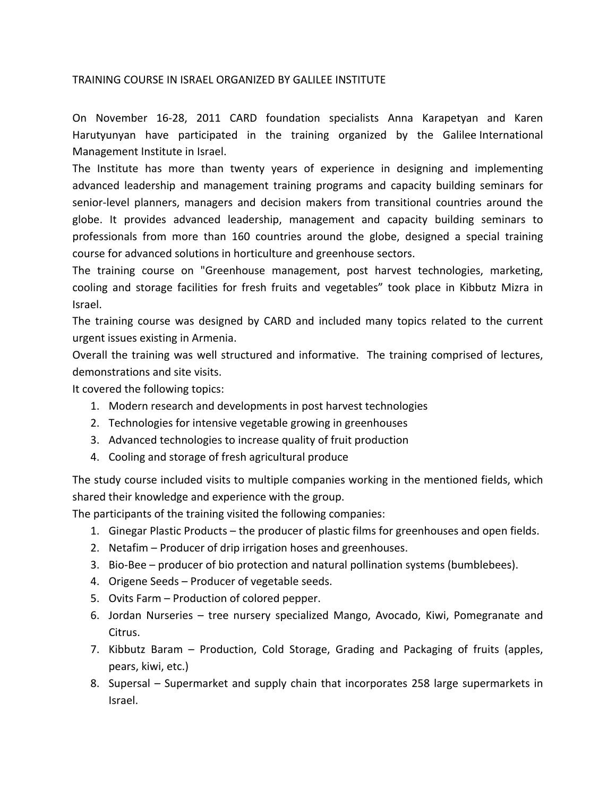## TRAINING COURSE IN ISRAEL ORGANIZED BY GALILEE INSTITUTE

On November 16‐28, 2011 CARD foundation specialists Anna Karapetyan and Karen Harutyunyan have participated in the training organized by the Galilee International Management Institute in Israel.

The Institute has more than twenty years of experience in designing and implementing advanced leadership and management training programs and capacity building seminars for senior-level planners, managers and decision makers from transitional countries around the globe. It provides advanced leadership, management and capacity building seminars to professionals from more than 160 countries around the globe, designed a special training course for advanced solutions in horticulture and greenhouse sectors.

The training course on "Greenhouse management, post harvest technologies, marketing, cooling and storage facilities for fresh fruits and vegetables" took place in Kibbutz Mizra in Israel.

The training course was designed by CARD and included many topics related to the current urgent issues existing in Armenia.

Overall the training was well structured and informative. The training comprised of lectures, demonstrations and site visits.

It covered the following topics:

- 1. Modern research and developments in post harvest technologies
- 2. Technologies for intensive vegetable growing in greenhouses
- 3. Advanced technologies to increase quality of fruit production
- 4. Cooling and storage of fresh agricultural produce

The study course included visits to multiple companies working in the mentioned fields, which shared their knowledge and experience with the group.

The participants of the training visited the following companies:

- 1. Ginegar Plastic Products the producer of plastic films for greenhouses and open fields.
- 2. Netafim Producer of drip irrigation hoses and greenhouses.
- 3. Bio‐Bee producer of bio protection and natural pollination systems (bumblebees).
- 4. Origene Seeds Producer of vegetable seeds.
- 5. Ovits Farm Production of colored pepper.
- 6. Jordan Nurseries tree nursery specialized Mango, Avocado, Kiwi, Pomegranate and Citrus.
- 7. Kibbutz Baram Production, Cold Storage, Grading and Packaging of fruits (apples, pears, kiwi, etc.)
- 8. Supersal Supermarket and supply chain that incorporates 258 large supermarkets in Israel.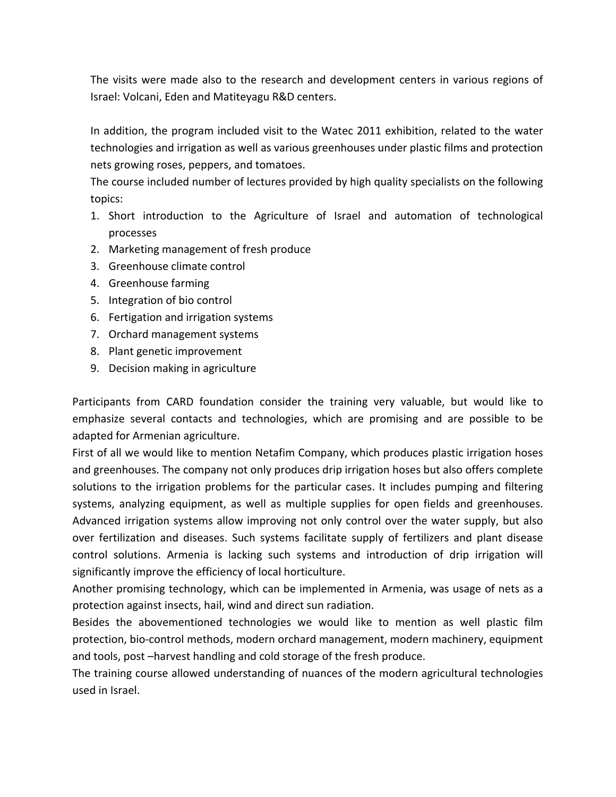The visits were made also to the research and development centers in various regions of Israel: Volcani, Eden and Matiteyagu R&D centers.

In addition, the program included visit to the Watec 2011 exhibition, related to the water technologies and irrigation as well as various greenhouses under plastic films and protection nets growing roses, peppers, and tomatoes.

The course included number of lectures provided by high quality specialists on the following topics:

- 1. Short introduction to the Agriculture of Israel and automation of technological processes
- 2. Marketing management of fresh produce
- 3. Greenhouse climate control
- 4. Greenhouse farming
- 5. Integration of bio control
- 6. Fertigation and irrigation systems
- 7. Orchard management systems
- 8. Plant genetic improvement
- 9. Decision making in agriculture

Participants from CARD foundation consider the training very valuable, but would like to emphasize several contacts and technologies, which are promising and are possible to be adapted for Armenian agriculture.

First of all we would like to mention Netafim Company, which produces plastic irrigation hoses and greenhouses. The company not only produces drip irrigation hoses but also offers complete solutions to the irrigation problems for the particular cases. It includes pumping and filtering systems, analyzing equipment, as well as multiple supplies for open fields and greenhouses. Advanced irrigation systems allow improving not only control over the water supply, but also over fertilization and diseases. Such systems facilitate supply of fertilizers and plant disease control solutions. Armenia is lacking such systems and introduction of drip irrigation will significantly improve the efficiency of local horticulture.

Another promising technology, which can be implemented in Armenia, was usage of nets as a protection against insects, hail, wind and direct sun radiation.

Besides the abovementioned technologies we would like to mention as well plastic film protection, bio-control methods, modern orchard management, modern machinery, equipment and tools, post –harvest handling and cold storage of the fresh produce.

The training course allowed understanding of nuances of the modern agricultural technologies used in Israel.